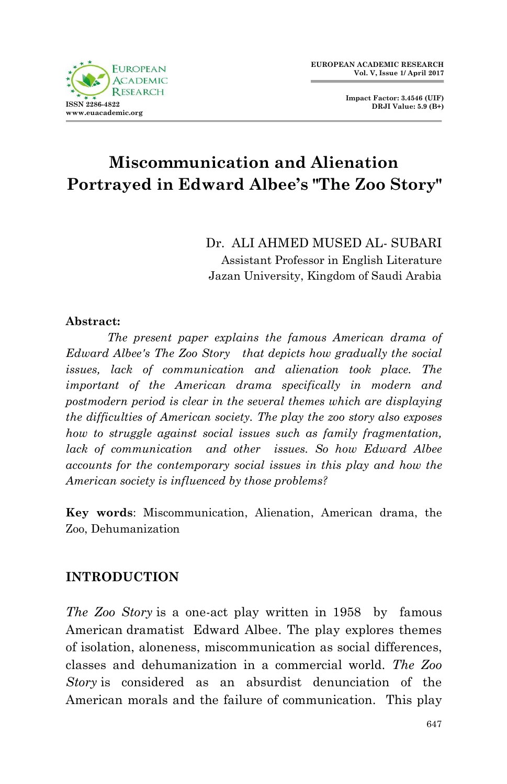

**Impact Factor: 3.4546 (UIF) DRJI Value: 5.9 (B+)**

# **Miscommunication and Alienation Portrayed in Edward Albee's "The Zoo Story"**

Dr. ALI AHMED MUSED AL- SUBARI Assistant Professor in English Literature Jazan University, Kingdom of Saudi Arabia

#### **Abstract:**

*The present paper explains the famous American drama of Edward Albee's The Zoo Story that depicts how gradually the social issues, lack of communication and alienation took place. The important of the American drama specifically in modern and postmodern period is clear in the several themes which are displaying the difficulties of American society. The play the zoo story also exposes how to struggle against social issues such as family fragmentation, lack of communication and other issues. So how Edward Albee accounts for the contemporary social issues in this play and how the American society is influenced by those problems?* 

**Key words**: Miscommunication, Alienation, American drama, the Zoo, Dehumanization

## **INTRODUCTION**

*The Zoo Story* is a one-act play written in 1958 by famous American dramatist Edward Albee. The play explores themes of isolation, aloneness, miscommunication as social differences, classes and dehumanization in a commercial world. *The Zoo Story* is considered as an absurdist denunciation of the American morals and the failure of communication. This play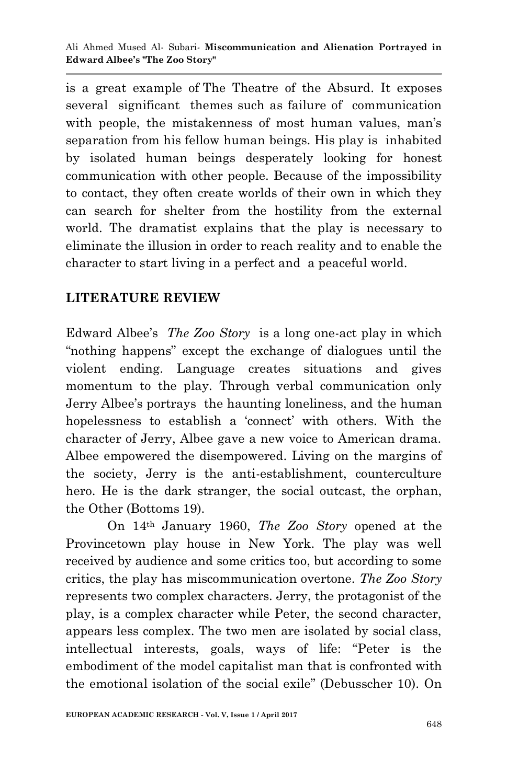is a great example of The Theatre of the Absurd. It exposes several significant themes such as failure of communication with people, the mistakenness of most human values, man's separation from his fellow human beings. His play is inhabited by isolated human beings desperately looking for honest communication with other people. Because of the impossibility to contact, they often create worlds of their own in which they can search for shelter from the hostility from the external world. The dramatist explains that the play is necessary to eliminate the illusion in order to reach reality and to enable the character to start living in a perfect and a peaceful world.

# **LITERATURE REVIEW**

Edward Albee"s *The Zoo Story* is a long one-act play in which "nothing happens" except the exchange of dialogues until the violent ending. Language creates situations and gives momentum to the play. Through verbal communication only Jerry Albee's portrays the haunting loneliness, and the human hopelessness to establish a 'connect' with others. With the character of Jerry, Albee gave a new voice to American drama. Albee empowered the disempowered. Living on the margins of the society, Jerry is the anti-establishment, counterculture hero. He is the dark stranger, the social outcast, the orphan, the Other (Bottoms 19).

On 14th January 1960, *The Zoo Story* opened at the Provincetown play house in New York. The play was well received by audience and some critics too, but according to some critics, the play has miscommunication overtone. *The Zoo Story* represents two complex characters. Jerry, the protagonist of the play, is a complex character while Peter, the second character, appears less complex. The two men are isolated by social class, intellectual interests, goals, ways of life: "Peter is the embodiment of the model capitalist man that is confronted with the emotional isolation of the social exile" (Debusscher 10). On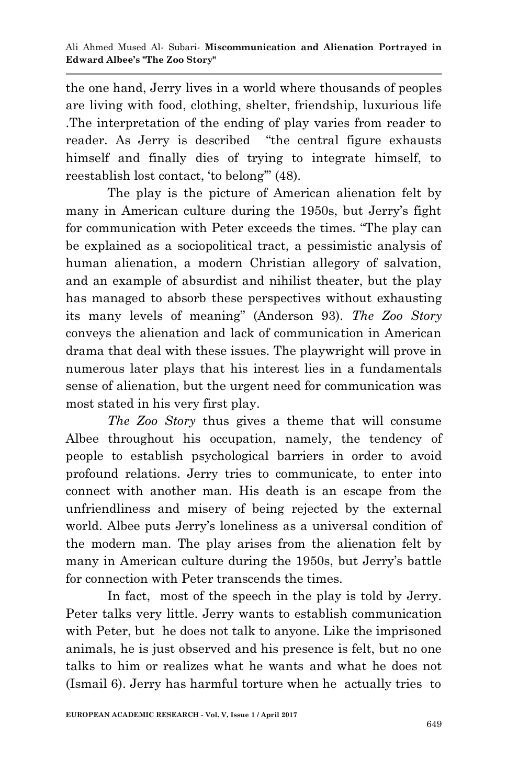the one hand, Jerry lives in a world where thousands of peoples are living with food, clothing, shelter, friendship, luxurious life .The interpretation of the ending of play varies from reader to reader. As Jerry is described "the central figure exhausts himself and finally dies of trying to integrate himself, to reestablish lost contact, "to belong"" (48).

The play is the picture of American alienation felt by many in American culture during the 1950s, but Jerry's fight for communication with Peter exceeds the times. "The play can be explained as a sociopolitical tract, a pessimistic analysis of human alienation, a modern Christian allegory of salvation, and an example of absurdist and nihilist theater, but the play has managed to absorb these perspectives without exhausting its many levels of meaning" (Anderson 93). *The Zoo Story* conveys the alienation and lack of communication in American drama that deal with these issues. The playwright will prove in numerous later plays that his interest lies in a fundamentals sense of alienation, but the urgent need for communication was most stated in his very first play.

*The Zoo Story* thus gives a theme that will consume Albee throughout his occupation, namely, the tendency of people to establish psychological barriers in order to avoid profound relations. Jerry tries to communicate, to enter into connect with another man. His death is an escape from the unfriendliness and misery of being rejected by the external world. Albee puts Jerry"s loneliness as a universal condition of the modern man. The play arises from the alienation felt by many in American culture during the 1950s, but Jerry"s battle for connection with Peter transcends the times.

In fact, most of the speech in the play is told by Jerry. Peter talks very little. Jerry wants to establish communication with Peter, but he does not talk to anyone. Like the imprisoned animals, he is just observed and his presence is felt, but no one talks to him or realizes what he wants and what he does not (Ismail 6). Jerry has harmful torture when he actually tries to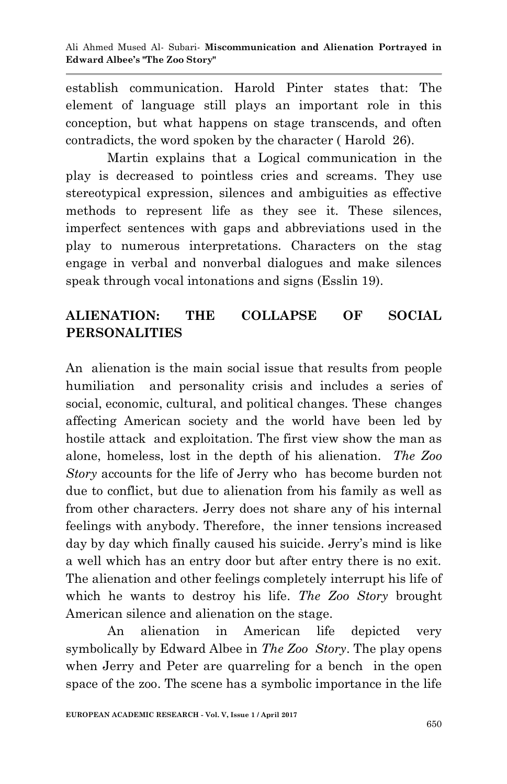establish communication. Harold Pinter states that: The element of language still plays an important role in this conception, but what happens on stage transcends, and often contradicts, the word spoken by the character ( Harold 26).

Martin explains that a Logical communication in the play is decreased to pointless cries and screams. They use stereotypical expression, silences and ambiguities as effective methods to represent life as they see it. These silences, imperfect sentences with gaps and abbreviations used in the play to numerous interpretations. Characters on the stag engage in verbal and nonverbal dialogues and make silences speak through vocal intonations and signs (Esslin 19).

# **ALIENATION: THE COLLAPSE OF SOCIAL PERSONALITIES**

An alienation is the main social issue that results from people humiliation and personality crisis and includes a series of social, economic, cultural, and political changes. These changes affecting American society and the world have been led by hostile attack and exploitation. The first view show the man as alone, homeless, lost in the depth of his alienation. *The Zoo Story* accounts for the life of Jerry who has become burden not due to conflict, but due to alienation from his family as well as from other characters. Jerry does not share any of his internal feelings with anybody. Therefore, the inner tensions increased day by day which finally caused his suicide. Jerry's mind is like a well which has an entry door but after entry there is no exit. The alienation and other feelings completely interrupt his life of which he wants to destroy his life. *The Zoo Story* brought American silence and alienation on the stage.

An alienation in American life depicted very symbolically by Edward Albee in *The Zoo Story*. The play opens when Jerry and Peter are quarreling for a bench in the open space of the zoo. The scene has a symbolic importance in the life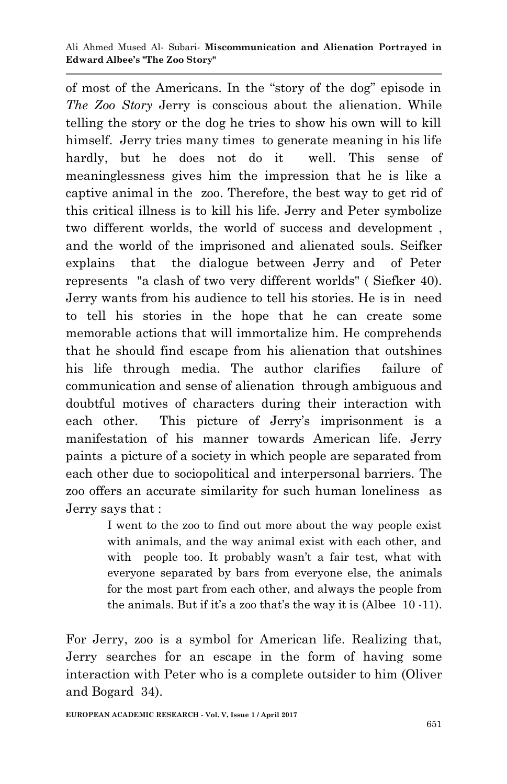of most of the Americans. In the "story of the dog" episode in *The Zoo Story* Jerry is conscious about the alienation. While telling the story or the dog he tries to show his own will to kill himself. Jerry tries many times to generate meaning in his life hardly, but he does not do it well. This sense of meaninglessness gives him the impression that he is like a captive animal in the zoo. Therefore, the best way to get rid of this critical illness is to kill his life. Jerry and Peter symbolize two different worlds, the world of success and development , and the world of the imprisoned and alienated souls. Seifker explains that the dialogue between Jerry and of Peter represents "a clash of two very different worlds" ( Siefker 40). Jerry wants from his audience to tell his stories. He is in need to tell his stories in the hope that he can create some memorable actions that will immortalize him. He comprehends that he should find escape from his alienation that outshines his life through media. The author clarifies failure of communication and sense of alienation through ambiguous and doubtful motives of characters during their interaction with each other. This picture of Jerry's imprisonment is a manifestation of his manner towards American life. Jerry paints a picture of a society in which people are separated from each other due to sociopolitical and interpersonal barriers. The zoo offers an accurate similarity for such human loneliness as Jerry says that :

> I went to the zoo to find out more about the way people exist with animals, and the way animal exist with each other, and with people too. It probably wasn't a fair test, what with everyone separated by bars from everyone else, the animals for the most part from each other, and always the people from the animals. But if it's a zoo that's the way it is (Albee  $10 - 11$ ).

For Jerry, zoo is a symbol for American life. Realizing that, Jerry searches for an escape in the form of having some interaction with Peter who is a complete outsider to him (Oliver and Bogard 34).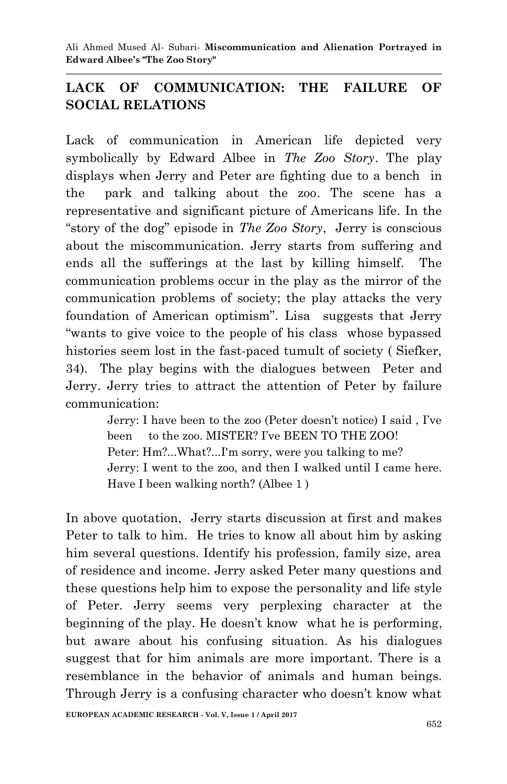Ali Ahmed Mused Al- Subari*-* **Miscommunication and Alienation Portrayed in Edward Albee's "The Zoo Story"**

## **LACK OF COMMUNICATION: THE FAILURE OF SOCIAL RELATIONS**

Lack of communication in American life depicted very symbolically by Edward Albee in *The Zoo Story*. The play displays when Jerry and Peter are fighting due to a bench in the park and talking about the zoo. The scene has a representative and significant picture of Americans life. In the "story of the dog" episode in *The Zoo Story*, Jerry is conscious about the miscommunication. Jerry starts from suffering and ends all the sufferings at the last by killing himself. The communication problems occur in the play as the mirror of the communication problems of society; the play attacks the very foundation of American optimism". Lisa suggests that Jerry "wants to give voice to the people of his class whose bypassed histories seem lost in the fast-paced tumult of society ( Siefker, 34). The play begins with the dialogues between Peter and Jerry. Jerry tries to attract the attention of Peter by failure communication:

> Jerry: I have been to the zoo (Peter doesn"t notice) I said , I"ve been to the zoo. MISTER? I've BEEN TO THE ZOO! Peter: Hm?...What?...I'm sorry, were you talking to me? Jerry: I went to the zoo, and then I walked until I came here. Have I been walking north? (Albee 1 )

In above quotation, Jerry starts discussion at first and makes Peter to talk to him. He tries to know all about him by asking him several questions. Identify his profession, family size, area of residence and income. Jerry asked Peter many questions and these questions help him to expose the personality and life style of Peter. Jerry seems very perplexing character at the beginning of the play. He doesn"t know what he is performing, but aware about his confusing situation. As his dialogues suggest that for him animals are more important. There is a resemblance in the behavior of animals and human beings. Through Jerry is a confusing character who doesn"t know what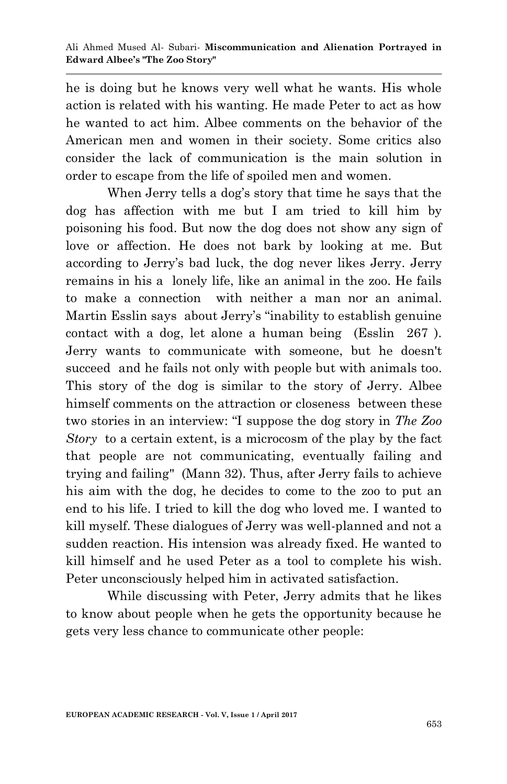he is doing but he knows very well what he wants. His whole action is related with his wanting. He made Peter to act as how he wanted to act him. Albee comments on the behavior of the American men and women in their society. Some critics also consider the lack of communication is the main solution in order to escape from the life of spoiled men and women.

When Jerry tells a dog's story that time he says that the dog has affection with me but I am tried to kill him by poisoning his food. But now the dog does not show any sign of love or affection. He does not bark by looking at me. But according to Jerry"s bad luck, the dog never likes Jerry. Jerry remains in his a lonely life, like an animal in the zoo. He fails to make a connection with neither a man nor an animal. Martin Esslin says about Jerry"s "inability to establish genuine contact with a dog, let alone a human being (Esslin 267 ). Jerry wants to communicate with someone, but he doesn't succeed and he fails not only with people but with animals too. This story of the dog is similar to the story of Jerry. Albee himself comments on the attraction or closeness between these two stories in an interview: "I suppose the dog story in *The Zoo Story* to a certain extent, is a microcosm of the play by the fact that people are not communicating, eventually failing and trying and failing" (Mann 32). Thus, after Jerry fails to achieve his aim with the dog, he decides to come to the zoo to put an end to his life. I tried to kill the dog who loved me. I wanted to kill myself. These dialogues of Jerry was well-planned and not a sudden reaction. His intension was already fixed. He wanted to kill himself and he used Peter as a tool to complete his wish. Peter unconsciously helped him in activated satisfaction.

While discussing with Peter, Jerry admits that he likes to know about people when he gets the opportunity because he gets very less chance to communicate other people: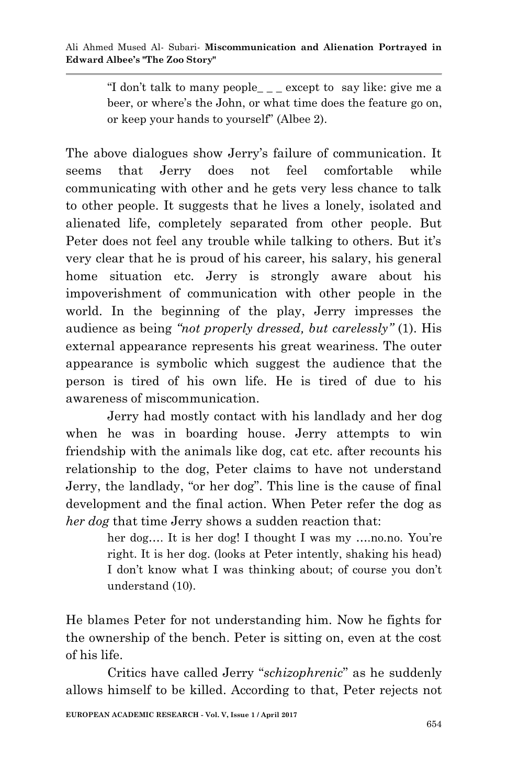"I don't talk to many people\_ $\angle$ \_ except to say like: give me a beer, or where's the John, or what time does the feature go on, or keep your hands to yourself" (Albee 2).

The above dialogues show Jerry"s failure of communication. It seems that Jerry does not feel comfortable while communicating with other and he gets very less chance to talk to other people. It suggests that he lives a lonely, isolated and alienated life, completely separated from other people. But Peter does not feel any trouble while talking to others. But it's very clear that he is proud of his career, his salary, his general home situation etc. Jerry is strongly aware about his impoverishment of communication with other people in the world. In the beginning of the play, Jerry impresses the audience as being *"not properly dressed, but carelessly"* (1). His external appearance represents his great weariness. The outer appearance is symbolic which suggest the audience that the person is tired of his own life. He is tired of due to his awareness of miscommunication.

Jerry had mostly contact with his landlady and her dog when he was in boarding house. Jerry attempts to win friendship with the animals like dog, cat etc. after recounts his relationship to the dog, Peter claims to have not understand Jerry, the landlady, "or her dog". This line is the cause of final development and the final action. When Peter refer the dog as *her dog* that time Jerry shows a sudden reaction that:

> her dog.... It is her dog! I thought I was my ....no.no. You're right. It is her dog. (looks at Peter intently, shaking his head) I don't know what I was thinking about; of course you don't understand (10).

He blames Peter for not understanding him. Now he fights for the ownership of the bench. Peter is sitting on, even at the cost of his life.

Critics have called Jerry "*schizophrenic*" as he suddenly allows himself to be killed. According to that, Peter rejects not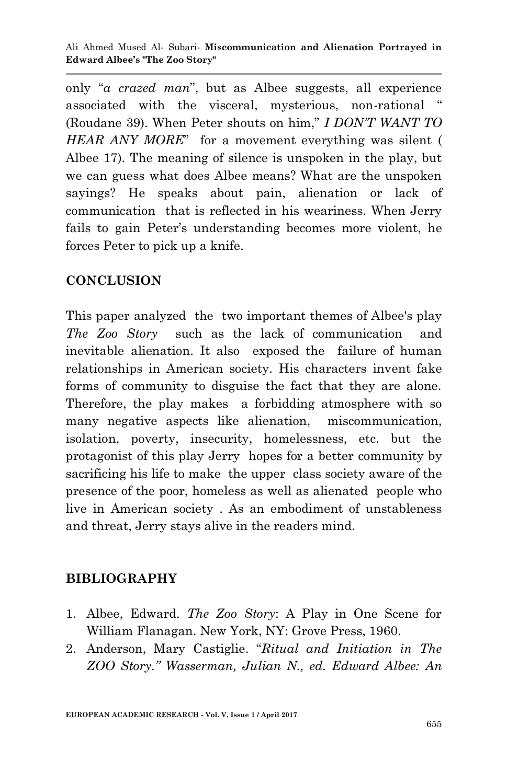Ali Ahmed Mused Al- Subari*-* **Miscommunication and Alienation Portrayed in Edward Albee's "The Zoo Story"**

only "*a crazed man*", but as Albee suggests, all experience associated with the visceral, mysterious, non-rational (Roudane 39). When Peter shouts on him," *I DON'T WANT TO HEAR ANY MORE*" for a movement everything was silent ( Albee 17). The meaning of silence is unspoken in the play, but we can guess what does Albee means? What are the unspoken sayings? He speaks about pain, alienation or lack of communication that is reflected in his weariness. When Jerry fails to gain Peter"s understanding becomes more violent, he forces Peter to pick up a knife.

### **CONCLUSION**

This paper analyzed the two important themes of Albee's play *The Zoo Story* such as the lack of communication and inevitable alienation. It also exposed the failure of human relationships in American society. His characters invent fake forms of community to disguise the fact that they are alone. Therefore, the play makes a forbidding atmosphere with so many negative aspects like alienation, miscommunication, isolation, poverty, insecurity, homelessness, etc. but the protagonist of this play Jerry hopes for a better community by sacrificing his life to make the upper class society aware of the presence of the poor, homeless as well as alienated people who live in American society . As an embodiment of unstableness and threat, Jerry stays alive in the readers mind.

### **BIBLIOGRAPHY**

- 1. Albee, Edward. *The Zoo Story*: A Play in One Scene for William Flanagan. New York, NY: Grove Press, 1960.
- 2. Anderson, Mary Castiglie. "*Ritual and Initiation in The ZOO Story." Wasserman, Julian N., ed. Edward Albee: An*

**EUROPEAN ACADEMIC RESEARCH - Vol. V, Issue 1 / April 2017**